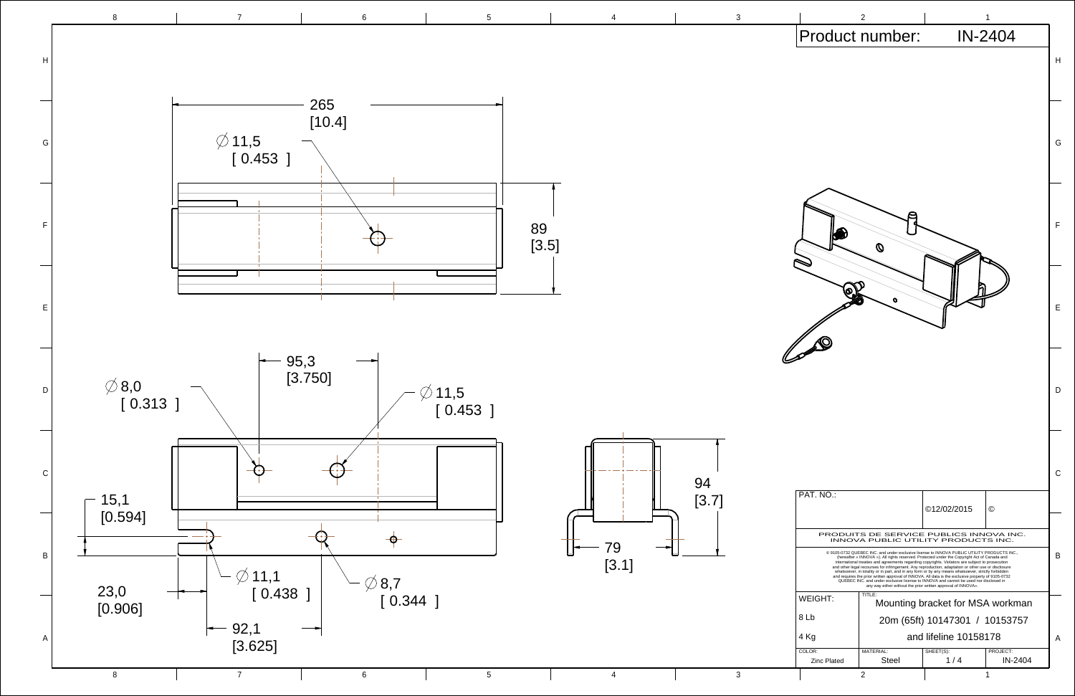

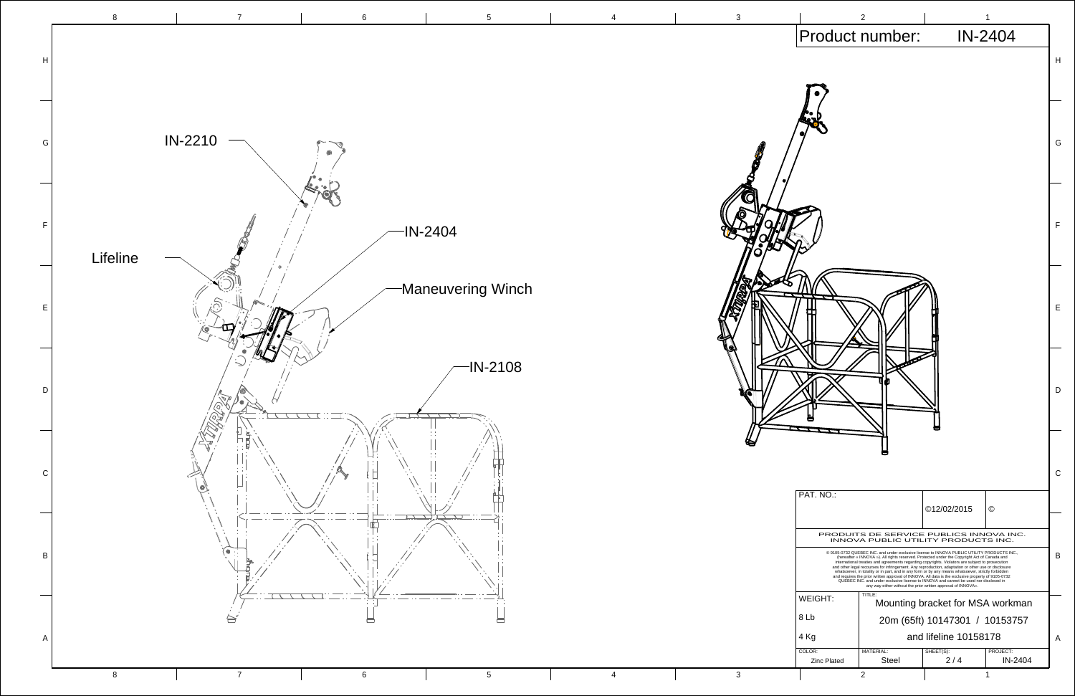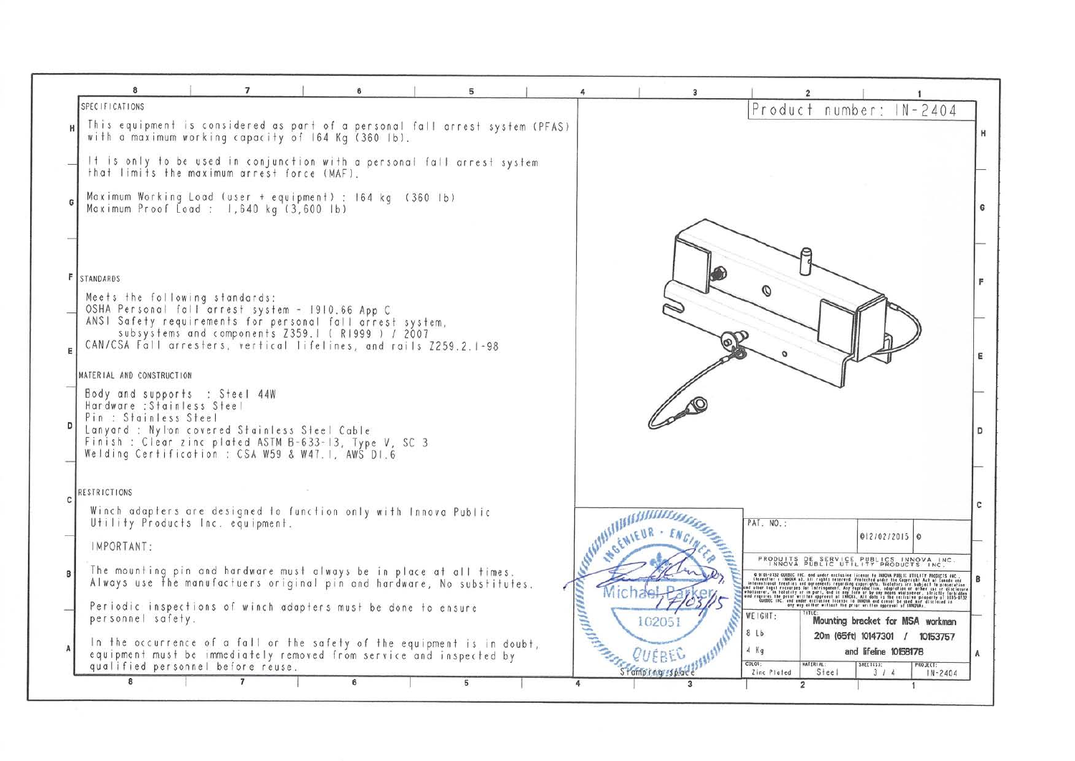